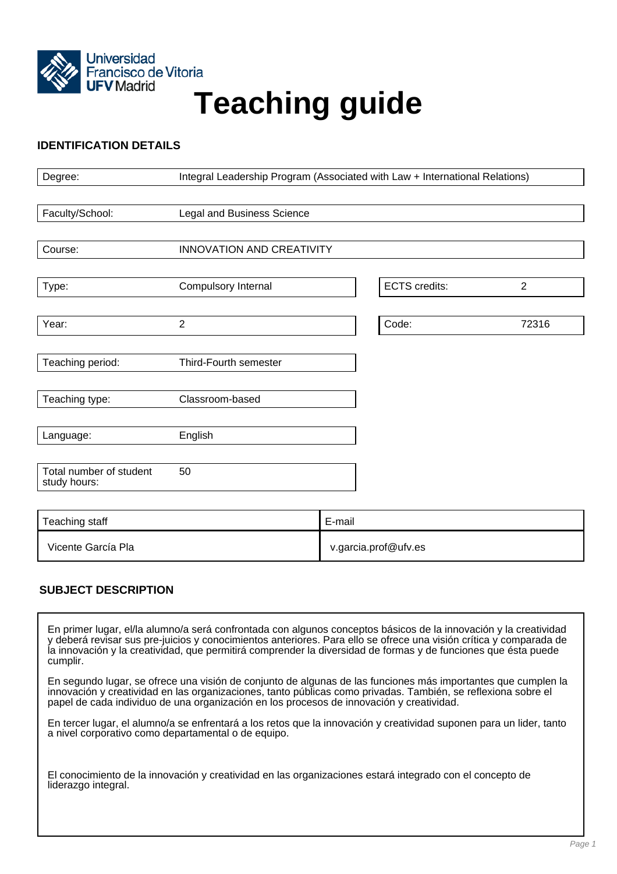

# Francisco de Vitoria<br>UFV Madrid<br>
Teaching guide

## **IDENTIFICATION DETAILS**

| Degree:                                 | Integral Leadership Program (Associated with Law + International Relations) |        |                      |                |
|-----------------------------------------|-----------------------------------------------------------------------------|--------|----------------------|----------------|
|                                         |                                                                             |        |                      |                |
| Faculty/School:                         | Legal and Business Science                                                  |        |                      |                |
|                                         |                                                                             |        |                      |                |
| Course:                                 | INNOVATION AND CREATIVITY                                                   |        |                      |                |
|                                         |                                                                             |        |                      |                |
| Type:                                   | Compulsory Internal                                                         |        | <b>ECTS</b> credits: | $\overline{2}$ |
|                                         |                                                                             |        |                      |                |
| Year:                                   | $\overline{2}$                                                              |        | Code:                | 72316          |
|                                         |                                                                             |        |                      |                |
| Teaching period:                        | Third-Fourth semester                                                       |        |                      |                |
|                                         |                                                                             |        |                      |                |
| Teaching type:                          | Classroom-based                                                             |        |                      |                |
|                                         |                                                                             |        |                      |                |
| Language:                               | English                                                                     |        |                      |                |
|                                         |                                                                             |        |                      |                |
| Total number of student<br>study hours: | 50                                                                          |        |                      |                |
|                                         |                                                                             |        |                      |                |
| Teaching staff                          |                                                                             | F-mail |                      |                |

| Teaching staff     | E-mail               |
|--------------------|----------------------|
| Vicente García Pla | v.garcia.prof@ufv.es |

# **SUBJECT DESCRIPTION**

En primer lugar, el/la alumno/a será confrontada con algunos conceptos básicos de la innovación y la creatividad y deberá revisar sus pre-juicios y conocimientos anteriores. Para ello se ofrece una visión crítica y comparada de la innovación y la creatividad, que permitirá comprender la diversidad de formas y de funciones que ésta puede cumplir.

En segundo lugar, se ofrece una visión de conjunto de algunas de las funciones más importantes que cumplen la innovación y creatividad en las organizaciones, tanto públicas como privadas. También, se reflexiona sobre el papel de cada individuo de una organización en los procesos de innovación y creatividad.

En tercer lugar, el alumno/a se enfrentará a los retos que la innovación y creatividad suponen para un lider, tanto a nivel corporativo como departamental o de equipo.

El conocimiento de la innovación y creatividad en las organizaciones estará integrado con el concepto de liderazgo integral.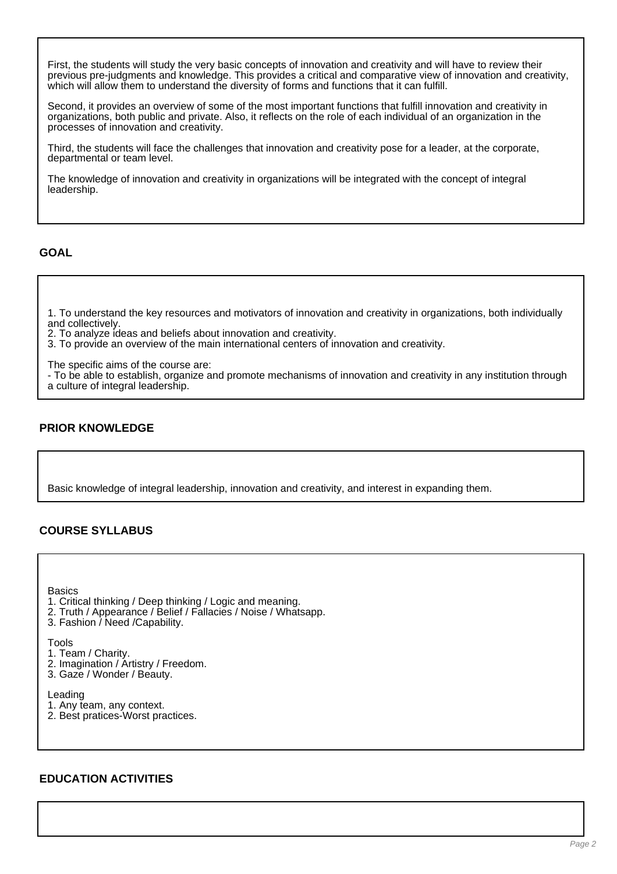First, the students will study the very basic concepts of innovation and creativity and will have to review their previous pre-judgments and knowledge. This provides a critical and comparative view of innovation and creativity, which will allow them to understand the diversity of forms and functions that it can fulfill.

Second, it provides an overview of some of the most important functions that fulfill innovation and creativity in organizations, both public and private. Also, it reflects on the role of each individual of an organization in the processes of innovation and creativity.

Third, the students will face the challenges that innovation and creativity pose for a leader, at the corporate, departmental or team level.

The knowledge of innovation and creativity in organizations will be integrated with the concept of integral leadership.

#### **GOAL**

1. To understand the key resources and motivators of innovation and creativity in organizations, both individually and collectively.

2. To analyze ideas and beliefs about innovation and creativity.

3. To provide an overview of the main international centers of innovation and creativity.

The specific aims of the course are:

- To be able to establish, organize and promote mechanisms of innovation and creativity in any institution through a culture of integral leadership.

# **PRIOR KNOWLEDGE**

Basic knowledge of integral leadership, innovation and creativity, and interest in expanding them.

# **COURSE SYLLABUS**

**Basics** 

- 1. Critical thinking / Deep thinking / Logic and meaning.
- 2. Truth / Appearance / Belief / Fallacies / Noise / Whatsapp.
- 3. Fashion / Need /Capability.

Tools

- 1. Team / Charity.
- 2. Imagination / Artistry / Freedom.
- 3. Gaze / Wonder / Beauty.

Leading

- 1. Any team, any context.
- 2. Best pratices-Worst practices.

#### **EDUCATION ACTIVITIES**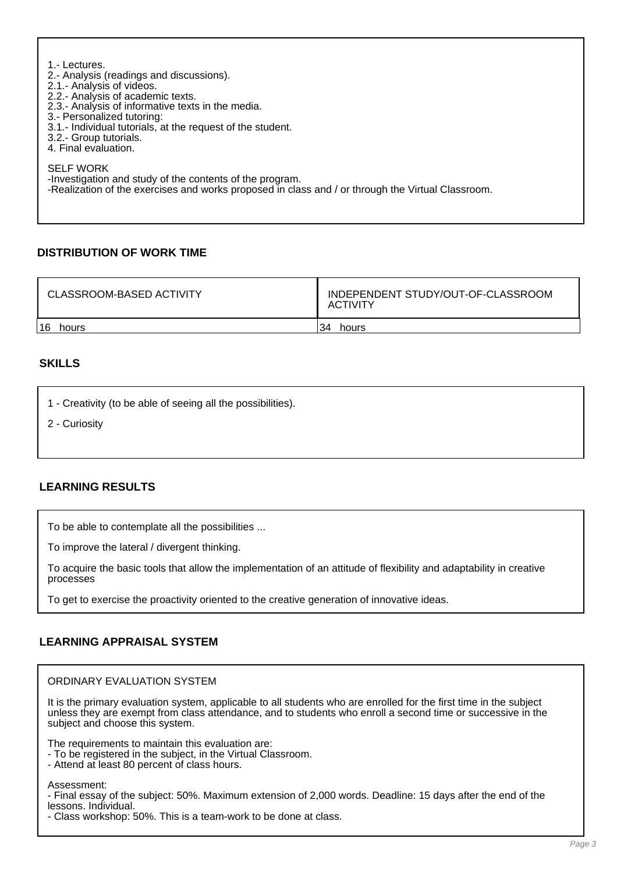| 1.- Lectures.<br>2.- Analysis (readings and discussions).<br>2.1 - Analysis of videos.<br>2.2.- Analysis of academic texts.<br>2.3.- Analysis of informative texts in the media.<br>3.- Personalized tutoring:<br>3.1.- Individual tutorials, at the request of the student.<br>3.2.- Group tutorials.<br>4. Final evaluation. |
|--------------------------------------------------------------------------------------------------------------------------------------------------------------------------------------------------------------------------------------------------------------------------------------------------------------------------------|
| <b>SELF WORK</b><br>-Investigation and study of the contents of the program.<br>-Realization of the exercises and works proposed in class and / or through the Virtual Classroom.                                                                                                                                              |

# **DISTRIBUTION OF WORK TIME**

| CLASSROOM-BASED ACTIVITY | INDEPENDENT STUDY/OUT-OF-CLASSROOM<br><b>ACTIVITY</b> |  |
|--------------------------|-------------------------------------------------------|--|
| 16                       | 34                                                    |  |
| hours                    | hours                                                 |  |

## **SKILLS**

- 1 Creativity (to be able of seeing all the possibilities).
- 2 Curiosity

#### **LEARNING RESULTS**

To be able to contemplate all the possibilities ...

To improve the lateral / divergent thinking.

To acquire the basic tools that allow the implementation of an attitude of flexibility and adaptability in creative processes

To get to exercise the proactivity oriented to the creative generation of innovative ideas.

## **LEARNING APPRAISAL SYSTEM**

ORDINARY EVALUATION SYSTEM

It is the primary evaluation system, applicable to all students who are enrolled for the first time in the subject unless they are exempt from class attendance, and to students who enroll a second time or successive in the subject and choose this system.

The requirements to maintain this evaluation are:

- To be registered in the subject, in the Virtual Classroom.
- Attend at least 80 percent of class hours.

Assessment:

- Final essay of the subject: 50%. Maximum extension of 2,000 words. Deadline: 15 days after the end of the lessons. Individual.

- Class workshop: 50%. This is a team-work to be done at class.